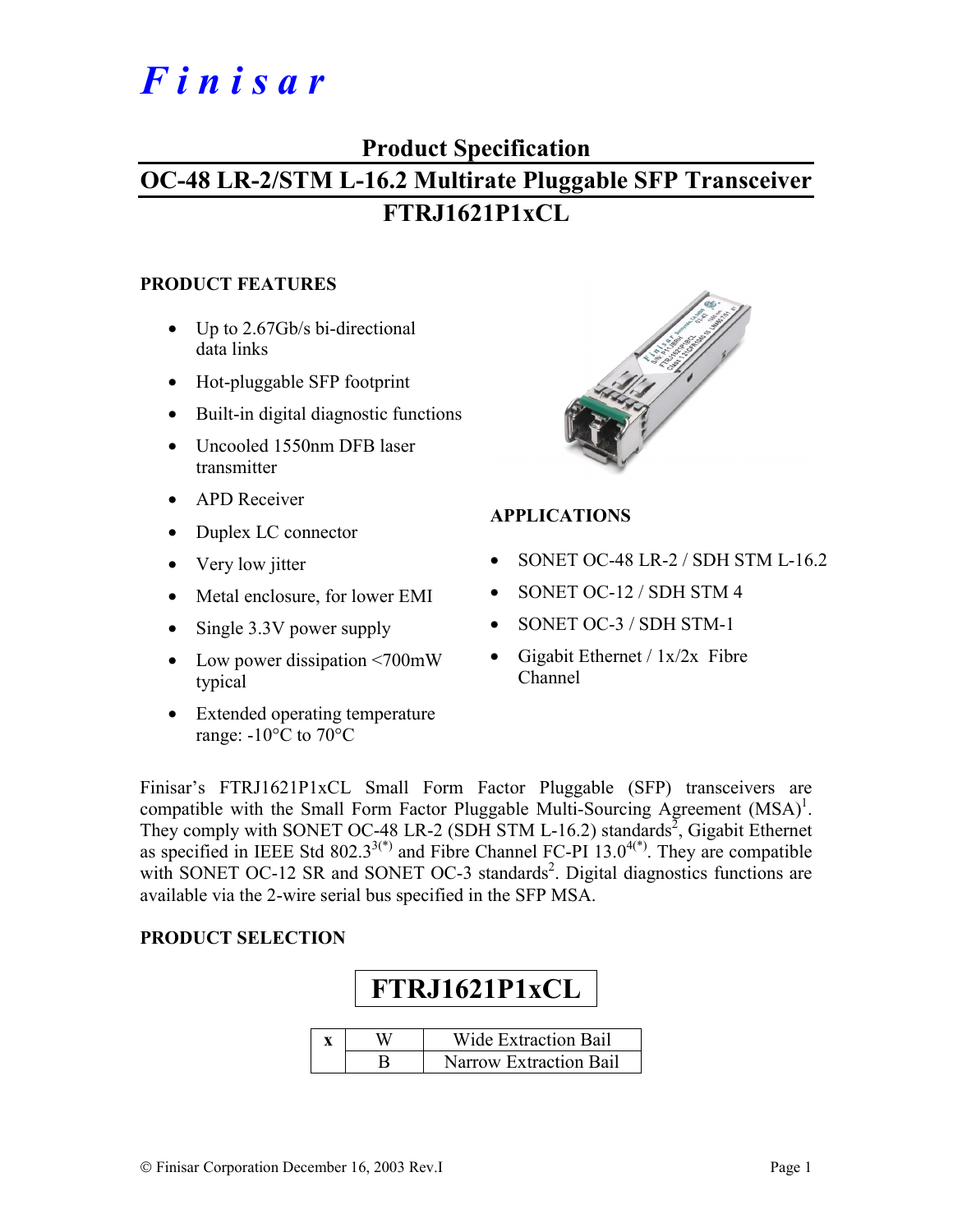# *F i n i s a r*

### **Product Specification**

# **OC-48 LR-2/STM L-16.2 Multirate Pluggable SFP Transceiver FTRJ1621P1xCL**

#### **PRODUCT FEATURES**

- Up to 2.67Gb/s bi-directional data links
- Hot-pluggable SFP footprint
- Built-in digital diagnostic functions
- Uncooled 1550nm DFB laser transmitter
- APD Receiver
- Duplex LC connector
- Very low jitter
- Metal enclosure, for lower EMI
- Single 3.3V power supply
- Low power dissipation <700mW typical
- Extended operating temperature range: -10°C to 70°C



#### **APPLICATIONS**

- SONET OC-48 LR-2 / SDH STM L-16.2
- SONET OC-12 / SDH STM 4
- SONET OC-3 / SDH STM-1
- Gigabit Ethernet /  $1x/2x$  Fibre Channel

Finisar's FTRJ1621P1xCL Small Form Factor Pluggable (SFP) transceivers are compatible with the Small Form Factor Pluggable Multi-Sourcing Agreement  $(MSA)^1$ . They comply with SONET OC-48 LR-2 (SDH STM L-16.2) standards<sup>2</sup>, Gigabit Ethernet as specified in IEEE Std  $802.3^{3(*)}$  and Fibre Channel FC-PI 13.0<sup>4(\*)</sup>. They are compatible with SONET OC-12 SR and SONET OC-3 standards<sup>2</sup>. Digital diagnostics functions are available via the 2-wire serial bus specified in the SFP MSA.

#### **PRODUCT SELECTION**

| FTRJ1621P1xCL          |                             |  |  |  |  |  |  |
|------------------------|-----------------------------|--|--|--|--|--|--|
|                        |                             |  |  |  |  |  |  |
|                        | <b>Wide Extraction Bail</b> |  |  |  |  |  |  |
| Narrow Extraction Bail |                             |  |  |  |  |  |  |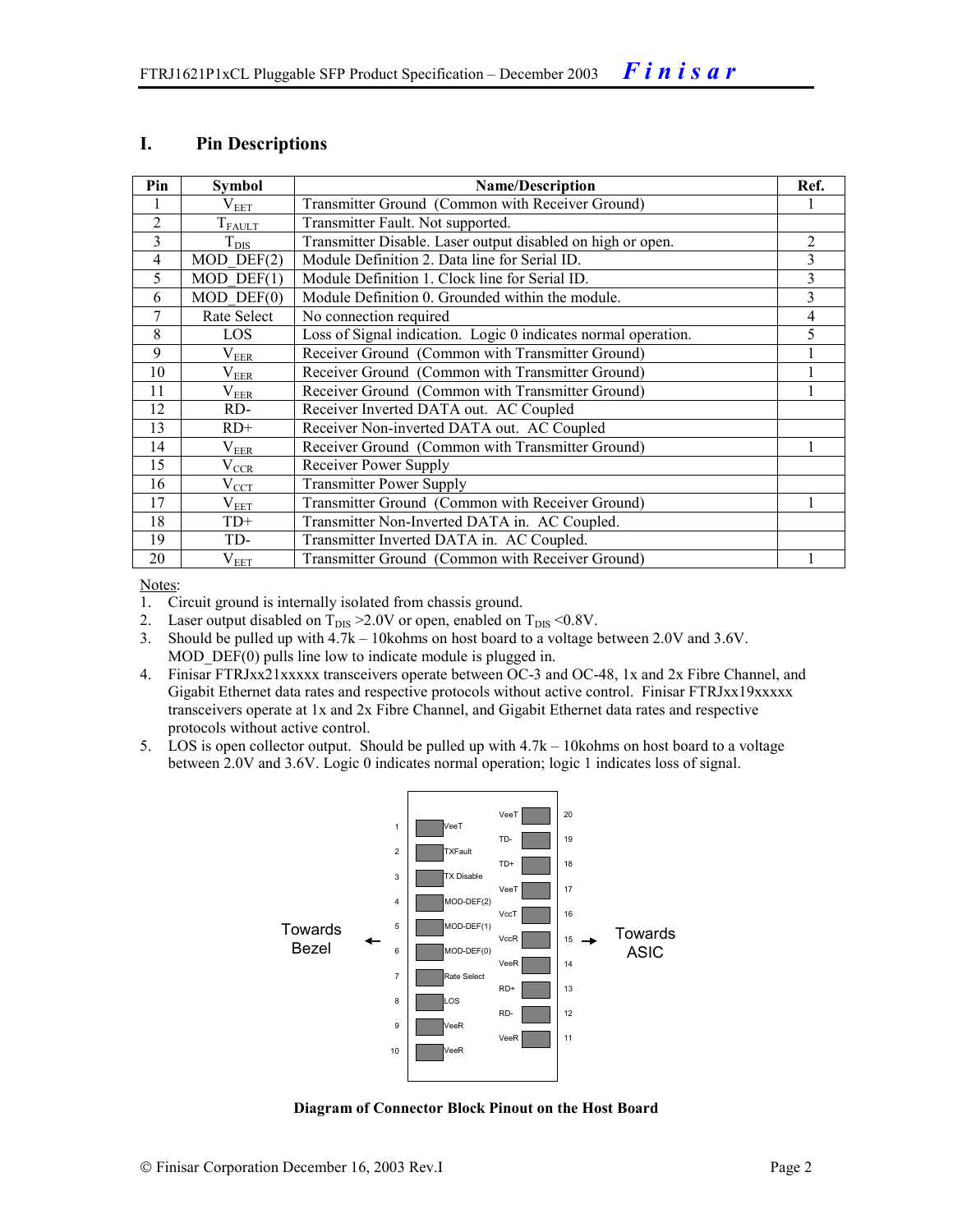#### **I. Pin Descriptions**

| Pin            | <b>Symbol</b>     | <b>Name/Description</b>                                        | Ref. |
|----------------|-------------------|----------------------------------------------------------------|------|
|                | $\rm V_{EET}$     | Transmitter Ground (Common with Receiver Ground)               |      |
| $\overline{2}$ | $T_{FAULT}$       | Transmitter Fault. Not supported.                              |      |
| 3              | $T_{\text{DIS}}$  | Transmitter Disable. Laser output disabled on high or open.    | 2    |
| 4              | $MOD$ DEF $(2)$   | Module Definition 2. Data line for Serial ID.                  | 3    |
| 5              | $MOD$ DEF $(1)$   | Module Definition 1. Clock line for Serial ID.                 | 3    |
| 6              | $MOD$ $DEF(0)$    | Module Definition 0. Grounded within the module.               | 3    |
| 7              | Rate Select       | No connection required                                         | 4    |
| 8              | LOS               | Loss of Signal indication. Logic 0 indicates normal operation. | 5    |
| 9              | $\rm V_{EER}$     | Receiver Ground (Common with Transmitter Ground)               |      |
| 10             | $\rm V_{EER}$     | Receiver Ground (Common with Transmitter Ground)               |      |
| 11             | $\rm V_{\rm EER}$ | Receiver Ground (Common with Transmitter Ground)               |      |
| 12             | RD-               | Receiver Inverted DATA out. AC Coupled                         |      |
| 13             | $RD+$             | Receiver Non-inverted DATA out. AC Coupled                     |      |
| 14             | $\rm V_{EER}$     | Receiver Ground (Common with Transmitter Ground)               |      |
| 15             | $\rm V_{CCR}$     | Receiver Power Supply                                          |      |
| 16             | $V_{\rm CCT}$     | <b>Transmitter Power Supply</b>                                |      |
| 17             | $\rm V_{EET}$     | Transmitter Ground (Common with Receiver Ground)               |      |
| 18             | $TD+$             | Transmitter Non-Inverted DATA in. AC Coupled.                  |      |
| 19             | TD-               | Transmitter Inverted DATA in. AC Coupled.                      |      |
| 20             | $\rm V_{EET}$     | Transmitter Ground (Common with Receiver Ground)               |      |

Notes:

1. Circuit ground is internally isolated from chassis ground.

2. Laser output disabled on  $T_{DIS} > 2.0V$  or open, enabled on  $T_{DIS} < 0.8V$ .

3. Should be pulled up with 4.7k – 10kohms on host board to a voltage between 2.0V and 3.6V. MOD DEF(0) pulls line low to indicate module is plugged in.

- 4. Finisar FTRJxx21xxxxx transceivers operate between OC-3 and OC-48, 1x and 2x Fibre Channel, and Gigabit Ethernet data rates and respective protocols without active control. Finisar FTRJxx19xxxxx transceivers operate at 1x and 2x Fibre Channel, and Gigabit Ethernet data rates and respective protocols without active control.
- 5. LOS is open collector output. Should be pulled up with 4.7k 10kohms on host board to a voltage between 2.0V and 3.6V. Logic 0 indicates normal operation; logic 1 indicates loss of signal.



**Diagram of Connector Block Pinout on the Host Board**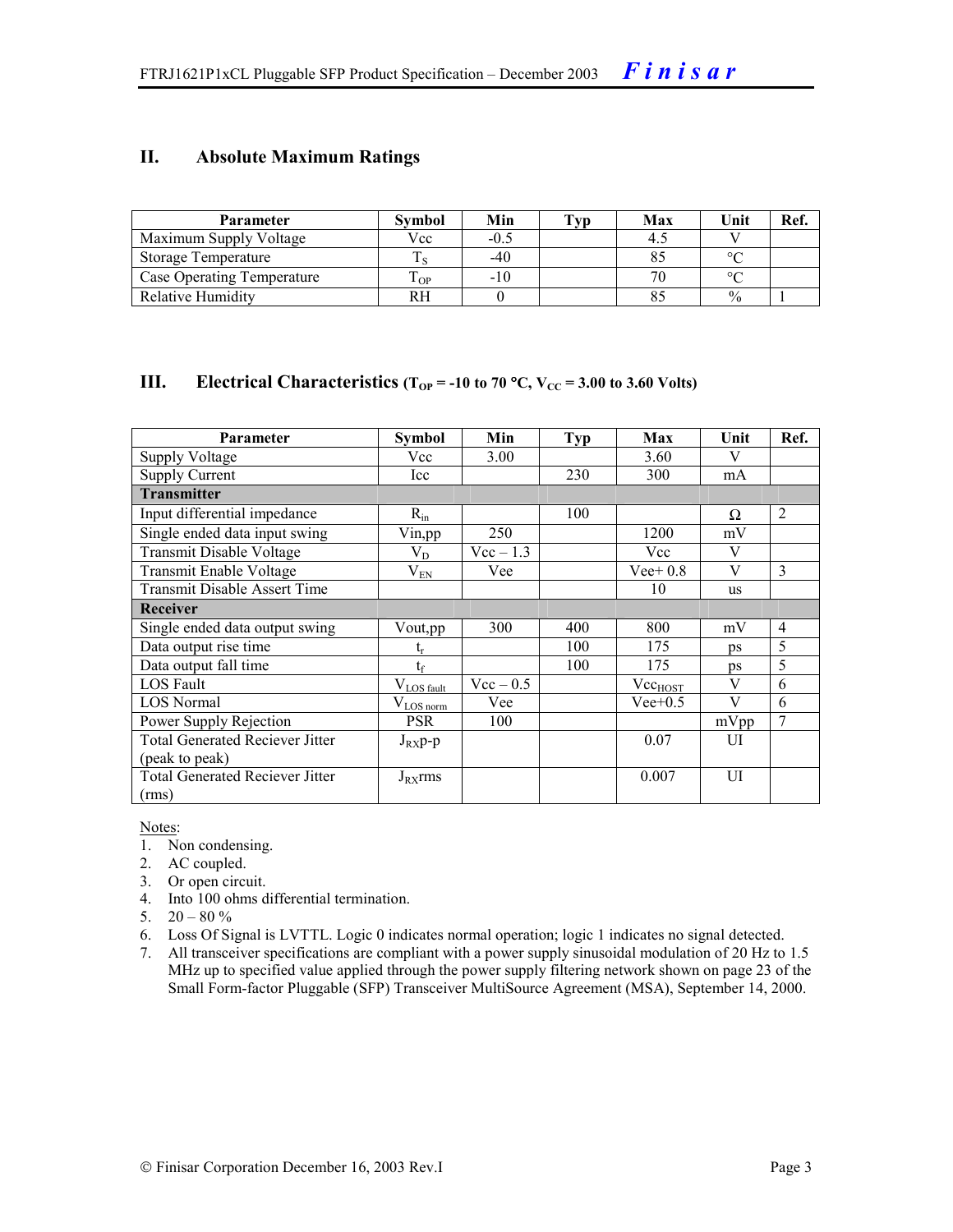#### **II. Absolute Maximum Ratings**

| <b>Parameter</b>           | Svmbol | Min    | Tvp | Max | Unit          | Ref. |
|----------------------------|--------|--------|-----|-----|---------------|------|
| Maximum Supply Voltage     | Vcc    | $-0.5$ |     | 4.1 |               |      |
| Storage Temperature        |        | -40    |     |     | $\sim$        |      |
| Case Operating Temperature | OP     | $-10$  |     |     |               |      |
| Relative Humidity          |        |        |     |     | $\frac{0}{0}$ |      |

#### **III.** Electrical Characteristics ( $T_{OP}$  = -10 to 70 °C,  $V_{CC}$  = 3.00 to 3.60 Volts)

| <b>Parameter</b>                       | Symbol                | Min         | Typ | Max          | Unit         | Ref.           |
|----------------------------------------|-----------------------|-------------|-----|--------------|--------------|----------------|
| Supply Voltage                         | Vcc                   | 3.00        |     | 3.60         | V            |                |
| Supply Current                         | Icc                   |             | 230 | 300          | mA           |                |
| <b>Transmitter</b>                     |                       |             |     |              |              |                |
| Input differential impedance           | $R_{in}$              |             | 100 |              | Ω            | $\overline{2}$ |
| Single ended data input swing          | Vin,pp                | 250         |     | 1200         | mV           |                |
| Transmit Disable Voltage               | $V_D$                 | $Vec-1.3$   |     | Vcc          | V            |                |
| Transmit Enable Voltage                | $V_{EN}$              | Vee         |     | Vee + $0.8$  | V            | $\overline{3}$ |
| <b>Transmit Disable Assert Time</b>    |                       |             |     | 10           | us           |                |
| <b>Receiver</b>                        |                       |             |     |              |              |                |
| Single ended data output swing         | Vout, pp              | 300         | 400 | 800          | mV           | $\overline{4}$ |
| Data output rise time                  |                       |             | 100 | 175          | ps           | 5              |
| Data output fall time                  | $t_{\rm f}$           |             | 100 | 175          | ps           | 5              |
| LOS Fault                              | $V_{LOS$ fault        | $Vec - 0.5$ |     | $Vec_{HOST}$ | $\mathbf{V}$ | 6              |
| <b>LOS</b> Normal                      | $V_{\text{LOS norm}}$ | Vee         |     | $Vee+0.5$    | V            | 6              |
| Power Supply Rejection                 | <b>PSR</b>            | 100         |     |              | mVpp         | 7              |
| <b>Total Generated Reciever Jitter</b> | $J_{RX}p-p$           |             |     | 0.07         | UI           |                |
| (peak to peak)                         |                       |             |     |              |              |                |
| <b>Total Generated Reciever Jitter</b> | $J_{RX}$ rms          |             |     | 0.007        | UI           |                |
| (rms)                                  |                       |             |     |              |              |                |

Notes:

- 1. Non condensing.
- 2. AC coupled.
- 3. Or open circuit.
- 4. Into 100 ohms differential termination.
- 5.  $20 80 \%$
- 6. Loss Of Signal is LVTTL. Logic 0 indicates normal operation; logic 1 indicates no signal detected.
- 7. All transceiver specifications are compliant with a power supply sinusoidal modulation of 20 Hz to 1.5 MHz up to specified value applied through the power supply filtering network shown on page 23 of the Small Form-factor Pluggable (SFP) Transceiver MultiSource Agreement (MSA), September 14, 2000.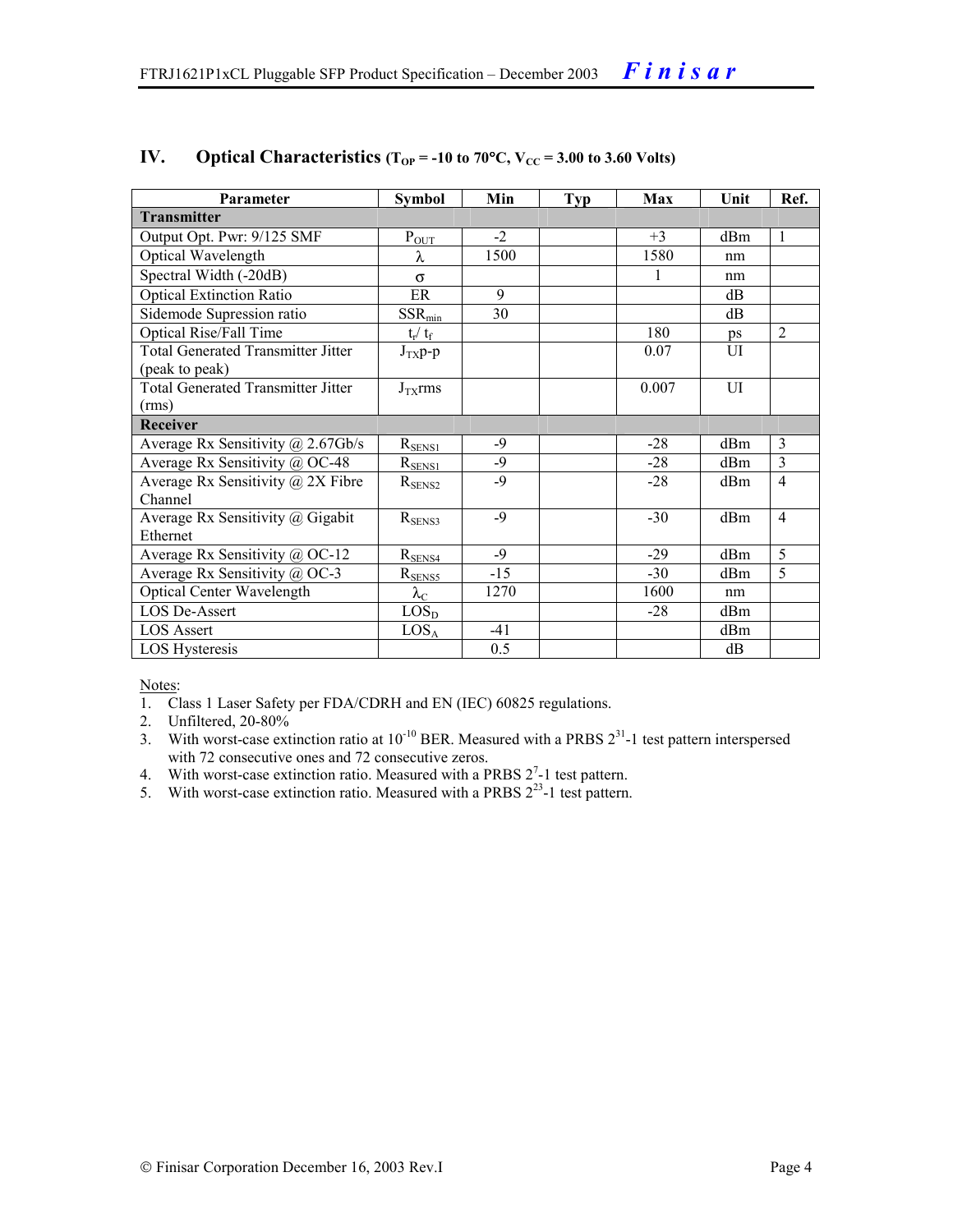| Parameter                                    | <b>Symbol</b>             | Min   | <b>Typ</b> | Max   | Unit            | Ref.           |
|----------------------------------------------|---------------------------|-------|------------|-------|-----------------|----------------|
| <b>Transmitter</b>                           |                           |       |            |       |                 |                |
| Output Opt. Pwr: 9/125 SMF                   | $P_{OT}$                  | $-2$  |            | $+3$  | d <sub>Bm</sub> | 1              |
| Optical Wavelength                           | λ                         | 1500  |            | 1580  | nm              |                |
| Spectral Width (-20dB)                       | $\sigma$                  |       |            | 1     | nm              |                |
| <b>Optical Extinction Ratio</b>              | ER                        | 9     |            |       | dВ              |                |
| Sidemode Supression ratio                    | $SSR_{min}$               | 30    |            |       | dB              |                |
| Optical Rise/Fall Time                       | $t_r / t_f$               |       |            | 180   | ps              | $\overline{2}$ |
| <b>Total Generated Transmitter Jitter</b>    | $J_{TX}p-p$               |       |            | 0.07  | UI              |                |
| (peak to peak)                               |                           |       |            |       |                 |                |
| <b>Total Generated Transmitter Jitter</b>    | $J_{TX}$ rms              |       |            | 0.007 | UI              |                |
| (rms)                                        |                           |       |            |       |                 |                |
| Receiver                                     |                           |       |            |       |                 |                |
| Average Rx Sensitivity $(a)$ 2.67Gb/s        | $R_{\rm SENS1}$           | $-9$  |            | $-28$ | d <sub>Bm</sub> | $\mathcal{E}$  |
| Average Rx Sensitivity @ OC-48               | $R_{\rm SENS1}$           | $-9$  |            | $-28$ | d <sub>Bm</sub> | 3              |
| Average Rx Sensitivity $\omega$ 2X Fibre     | $R_{\rm SENS2}$           | $-9$  |            | $-28$ | d <sub>Bm</sub> | $\overline{4}$ |
| Channel                                      |                           |       |            |       |                 |                |
| Average Rx Sensitivity @ Gigabit             | $R_{SENS3}$               | $-9$  |            | $-30$ | d <sub>Bm</sub> | $\overline{4}$ |
| Ethernet                                     |                           |       |            |       |                 |                |
| Average Rx Sensitivity @ OC-12               | $R_{SENS4}$               | $-9$  |            | $-29$ | dBm             | 5              |
| Average Rx Sensitivity $\overline{a}$ , OC-3 | $R_{\frac{SENS5}{2}}$     | $-15$ |            | $-30$ | d <sub>Bm</sub> | 5              |
| <b>Optical Center Wavelength</b>             | $\lambda_{\underline{C}}$ | 1270  |            | 1600  | nm              |                |
| LOS De-Assert                                | LOS <sub>D</sub>          |       |            | $-28$ | d <sub>Bm</sub> |                |
| <b>LOS Assert</b>                            | LOS <sub>A</sub>          | $-41$ |            |       | d <sub>Bm</sub> |                |
| LOS Hysteresis                               |                           | 0.5   |            |       | dB              |                |

#### **IV.** Optical Characteristics ( $T_{OP}$  = -10 to 70°C,  $V_{CC}$  = 3.00 to 3.60 Volts)

Notes:

- 1. Class 1 Laser Safety per FDA/CDRH and EN (IEC) 60825 regulations.
- 2. Unfiltered, 20-80%
- 3. With worst-case extinction ratio at  $10^{-10}$  BER. Measured with a PRBS  $2^{31}$ -1 test pattern interspersed with 72 consecutive ones and 72 consecutive zeros.
- 4. With worst-case extinction ratio. Measured with a PRBS  $2^7$ -1 test pattern.
- 5. With worst-case extinction ratio. Measured with a PRBS  $2^{23}$ -1 test pattern.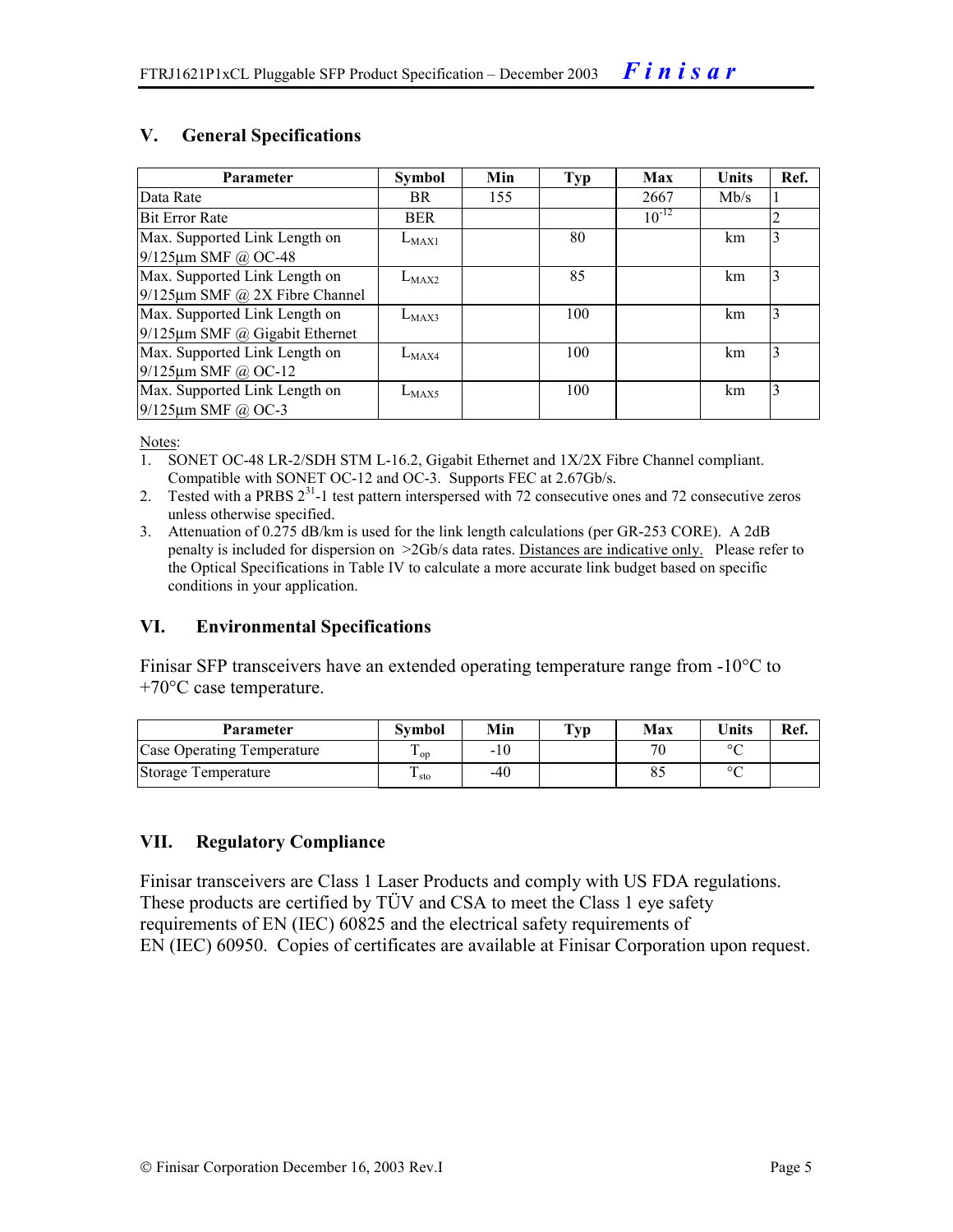#### **V. General Specifications**

| <b>Parameter</b>                     | <b>Symbol</b> | Min | <b>Typ</b> | Max        | <b>Units</b> | Ref.    |
|--------------------------------------|---------------|-----|------------|------------|--------------|---------|
| Data Rate                            | BR.           | 155 |            | 2667       | Mb/s         | $\perp$ |
| <b>Bit Error Rate</b>                | <b>BER</b>    |     |            | $10^{-12}$ |              | 2       |
| Max. Supported Link Length on        | $L_{MAX1}$    |     | 80         |            | km           | 3       |
| $9/125 \mu m$ SMF @ OC-48            |               |     |            |            |              |         |
| Max. Supported Link Length on        | $L_{MAX2}$    |     | 85         |            | km           | 3       |
| $9/125 \mu m$ SMF @ 2X Fibre Channel |               |     |            |            |              |         |
| Max. Supported Link Length on        | $L_{MAX3}$    |     | 100        |            | km           | 3       |
| $9/125 \mu m$ SMF @ Gigabit Ethernet |               |     |            |            |              |         |
| Max. Supported Link Length on        | $L_{MAX4}$    |     | 100        |            | km           | 3       |
| $9/125 \mu m$ SMF @ OC-12            |               |     |            |            |              |         |
| Max. Supported Link Length on        | $L_{MAX5}$    |     | 100        |            | km           | 3       |
| $9/125$ µm SMF @ OC-3                |               |     |            |            |              |         |

Notes:

- 1. SONET OC-48 LR-2/SDH STM L-16.2, Gigabit Ethernet and 1X/2X Fibre Channel compliant. Compatible with SONET OC-12 and OC-3. Supports FEC at 2.67Gb/s.
- 2. Tested with a PRBS  $2^{31}$ -1 test pattern interspersed with 72 consecutive ones and 72 consecutive zeros unless otherwise specified.
- 3. Attenuation of 0.275 dB/km is used for the link length calculations (per GR-253 CORE). A 2dB penalty is included for dispersion on >2Gb/s data rates. Distances are indicative only. Please refer to the Optical Specifications in Table IV to calculate a more accurate link budget based on specific conditions in your application.

#### **VI. Environmental Specifications**

Finisar SFP transceivers have an extended operating temperature range from -10°C to +70°C case temperature.

| <b>Parameter</b>           | Svmbol                 | Min   | $\mathbf{T}_{\mathbf{V}\mathbf{D}}$ | Max   | <b>Units</b> | Ref. |
|----------------------------|------------------------|-------|-------------------------------------|-------|--------------|------|
| Case Operating Temperature | $\mathbf{1}$ op        | $-10$ |                                     | $\pi$ | $\circ$      |      |
| Storage Temperature        | ᠇<br>$\frac{1}{1}$ sto | -40   |                                     |       | $\sim$       |      |

#### **VII. Regulatory Compliance**

Finisar transceivers are Class 1 Laser Products and comply with US FDA regulations. These products are certified by TÜV and CSA to meet the Class 1 eye safety requirements of EN (IEC) 60825 and the electrical safety requirements of EN (IEC) 60950. Copies of certificates are available at Finisar Corporation upon request.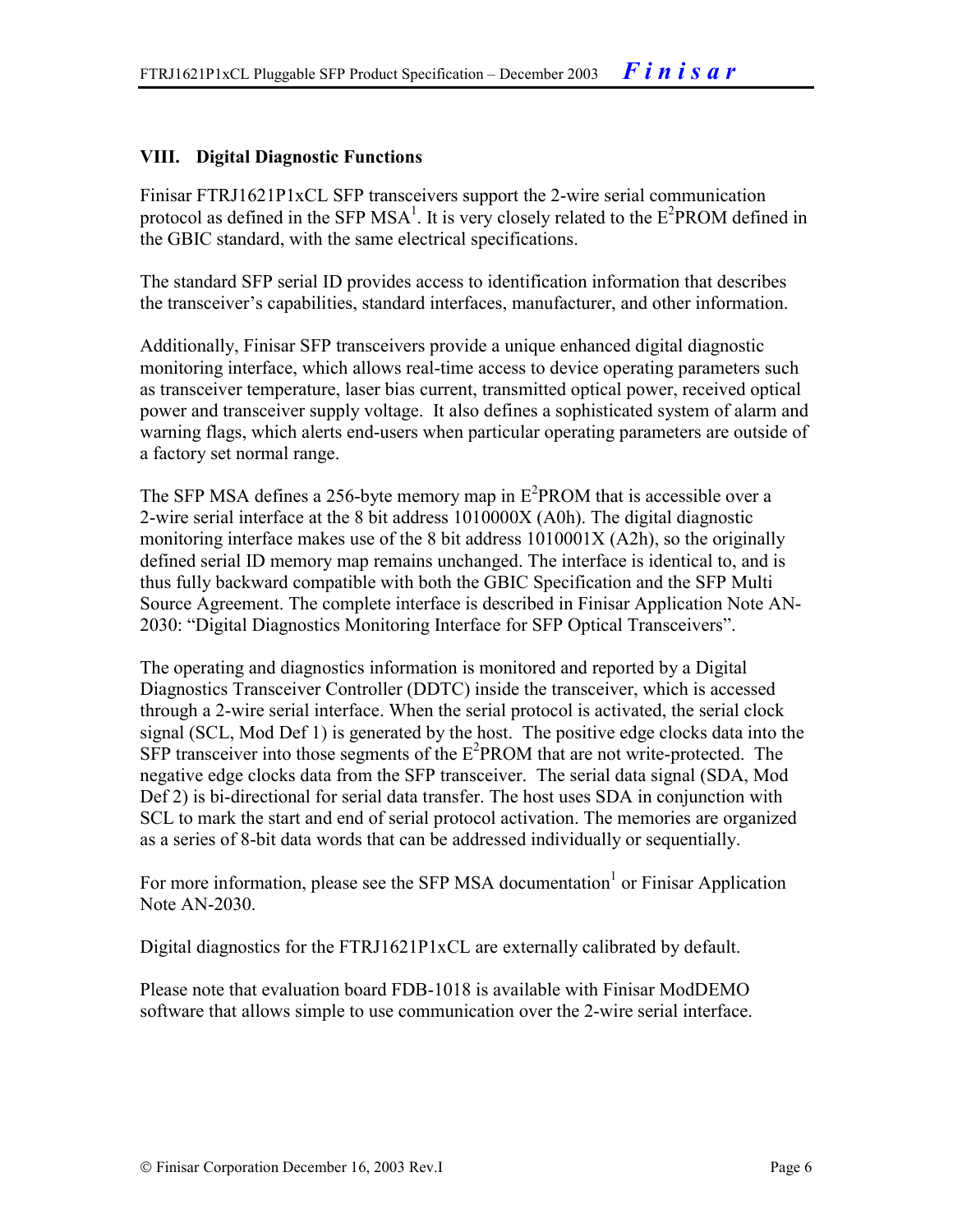#### **VIII. Digital Diagnostic Functions**

Finisar FTRJ1621P1xCL SFP transceivers support the 2-wire serial communication protocol as defined in the SFP MSA<sup>1</sup>. It is very closely related to the  $E^2$ PROM defined in the GBIC standard, with the same electrical specifications.

The standard SFP serial ID provides access to identification information that describes the transceiver's capabilities, standard interfaces, manufacturer, and other information.

Additionally, Finisar SFP transceivers provide a unique enhanced digital diagnostic monitoring interface, which allows real-time access to device operating parameters such as transceiver temperature, laser bias current, transmitted optical power, received optical power and transceiver supply voltage. It also defines a sophisticated system of alarm and warning flags, which alerts end-users when particular operating parameters are outside of a factory set normal range.

The SFP MSA defines a 256-byte memory map in  $E^2$ PROM that is accessible over a 2-wire serial interface at the 8 bit address 1010000X (A0h). The digital diagnostic monitoring interface makes use of the 8 bit address 1010001X (A2h), so the originally defined serial ID memory map remains unchanged. The interface is identical to, and is thus fully backward compatible with both the GBIC Specification and the SFP Multi Source Agreement. The complete interface is described in Finisar Application Note AN-2030: "Digital Diagnostics Monitoring Interface for SFP Optical Transceivers".

The operating and diagnostics information is monitored and reported by a Digital Diagnostics Transceiver Controller (DDTC) inside the transceiver, which is accessed through a 2-wire serial interface. When the serial protocol is activated, the serial clock signal (SCL, Mod Def 1) is generated by the host. The positive edge clocks data into the  $SFP$  transceiver into those segments of the  $E^2$ PROM that are not write-protected. The negative edge clocks data from the SFP transceiver. The serial data signal (SDA, Mod Def 2) is bi-directional for serial data transfer. The host uses SDA in conjunction with SCL to mark the start and end of serial protocol activation. The memories are organized as a series of 8-bit data words that can be addressed individually or sequentially.

For more information, please see the SFP MSA documentation<sup>1</sup> or Finisar Application Note AN-2030.

Digital diagnostics for the FTRJ1621P1xCL are externally calibrated by default.

Please note that evaluation board FDB-1018 is available with Finisar ModDEMO software that allows simple to use communication over the 2-wire serial interface.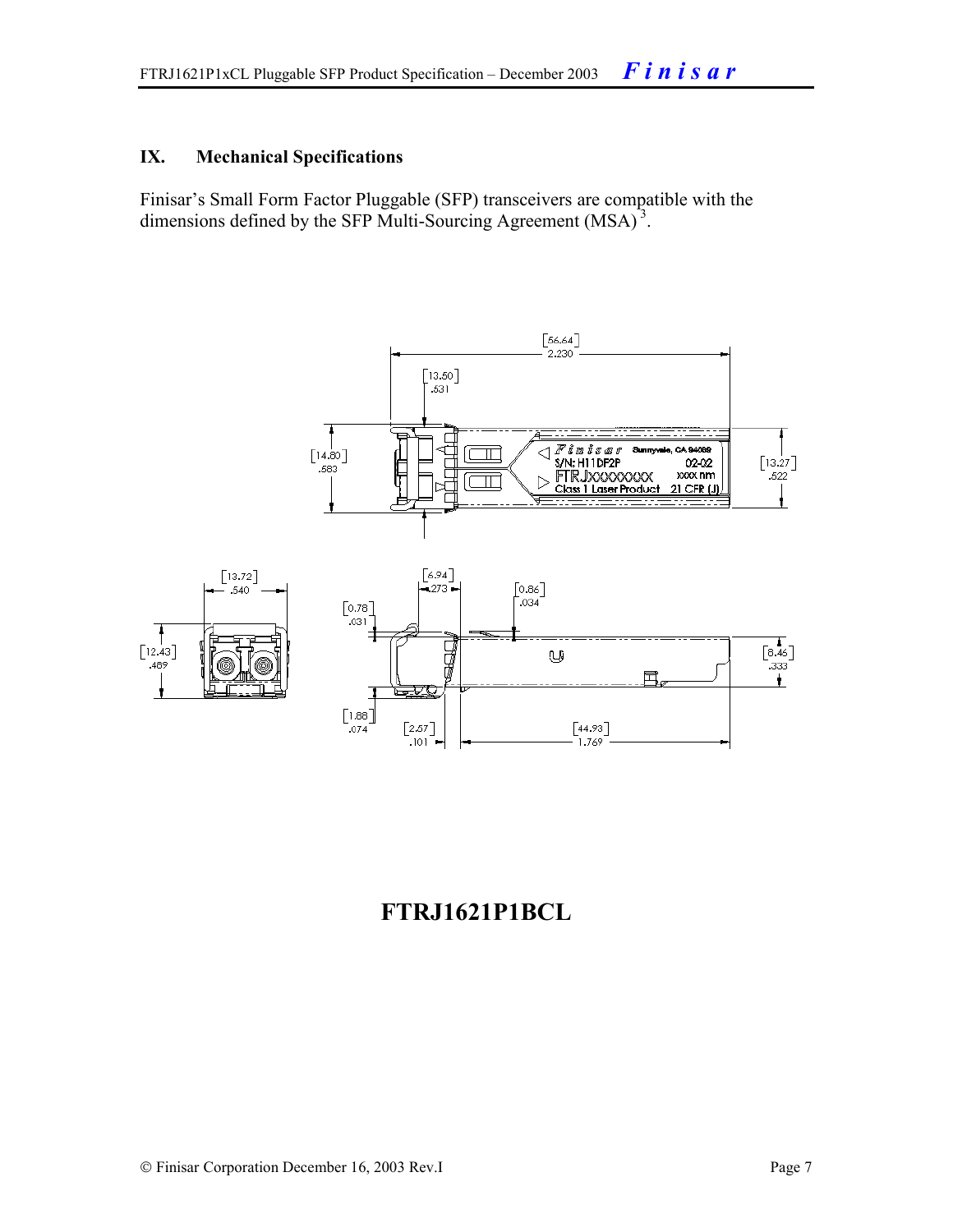#### **IX. Mechanical Specifications**

Finisar's Small Form Factor Pluggable (SFP) transceivers are compatible with the dimensions defined by the SFP Multi-Sourcing Agreement (MSA)<sup>3</sup>.



### **FTRJ1621P1BCL**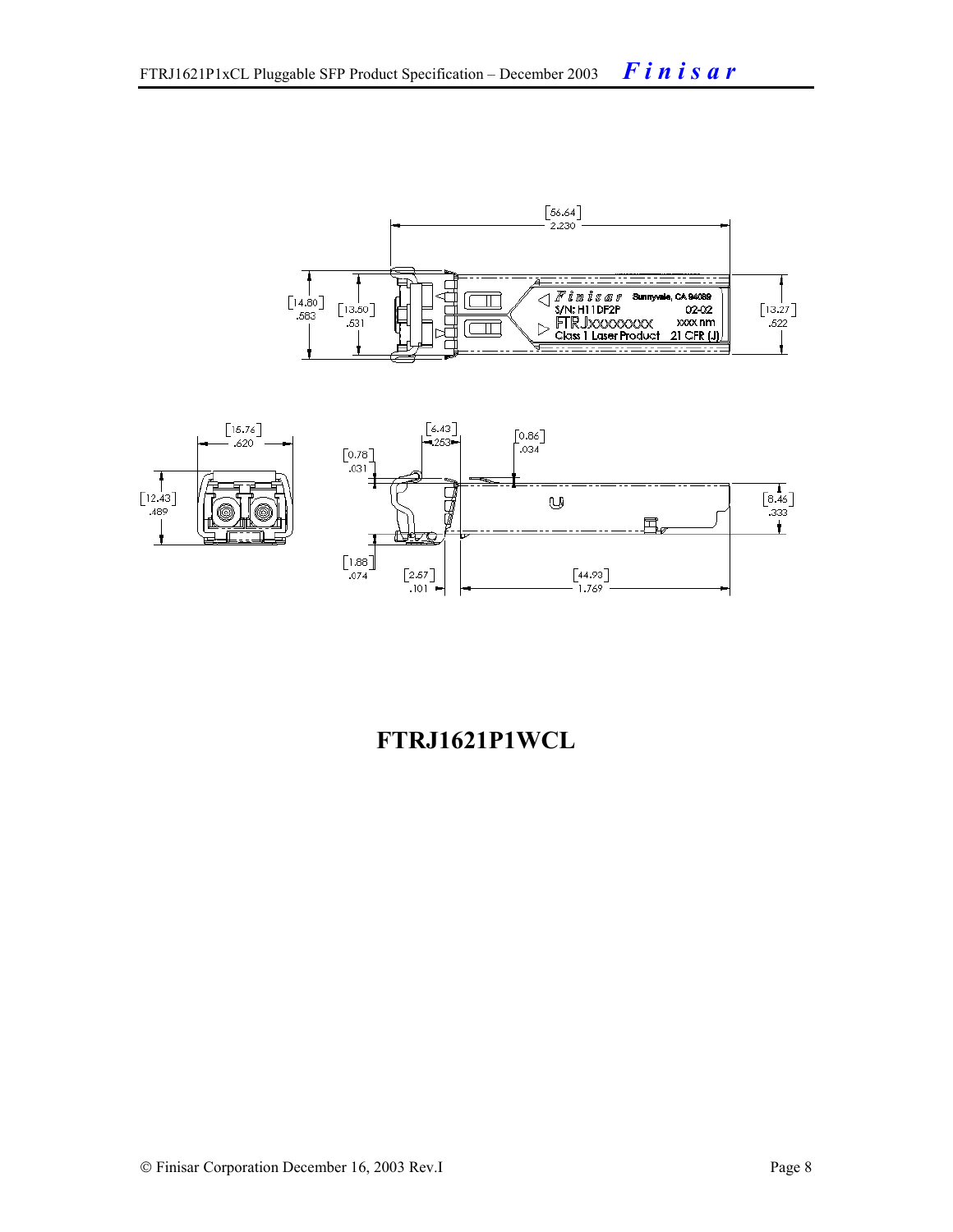



## **FTRJ1621P1WCL**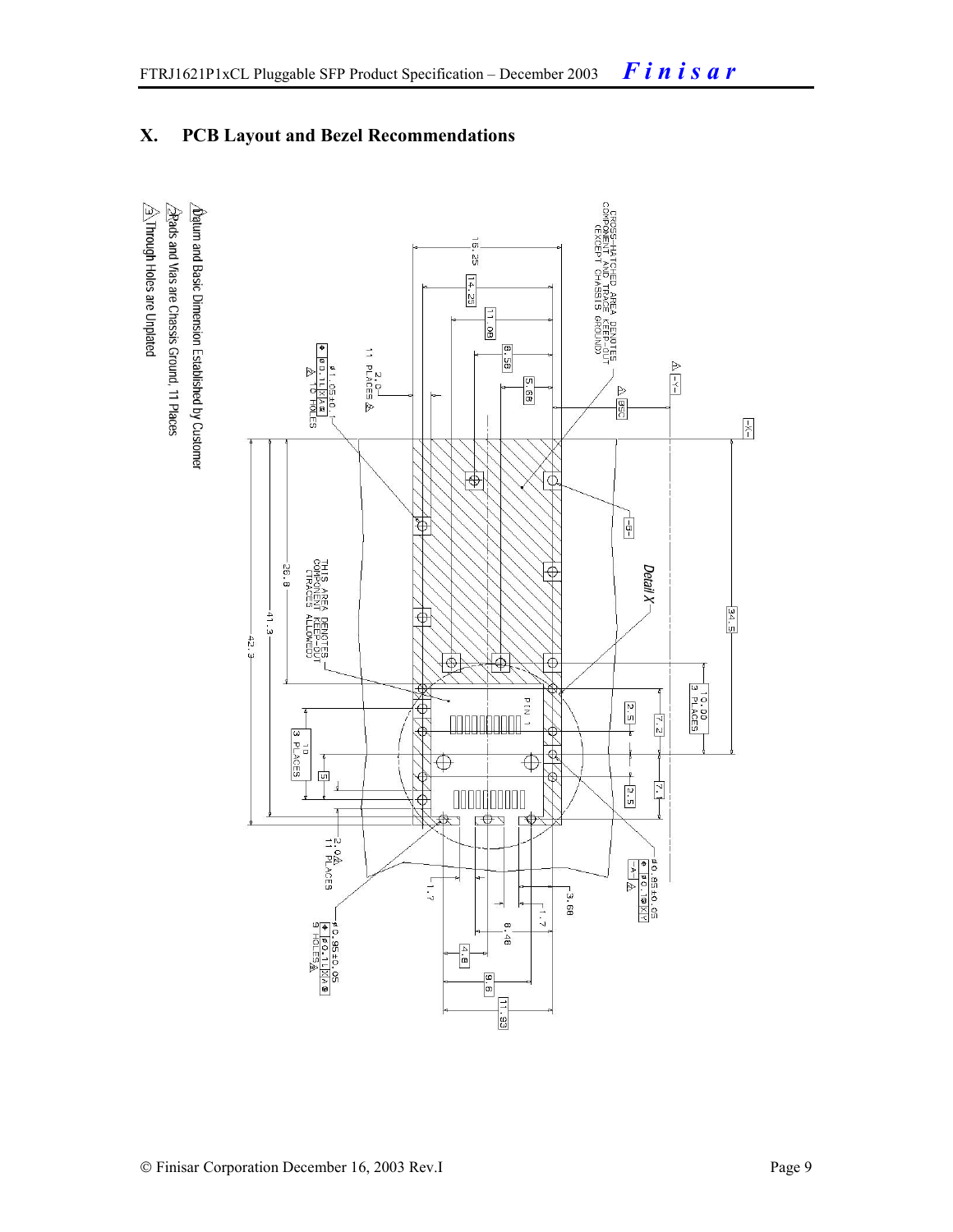### **X. PCB Layout and Bezel Recommendations**

 $\hat{\triangle}$ Through Holes are Unplated  $\Delta$ atum and Basic Dimension Established by Customer  $\triangle$ Rads and Vias are Chassis Ground, 11 Places

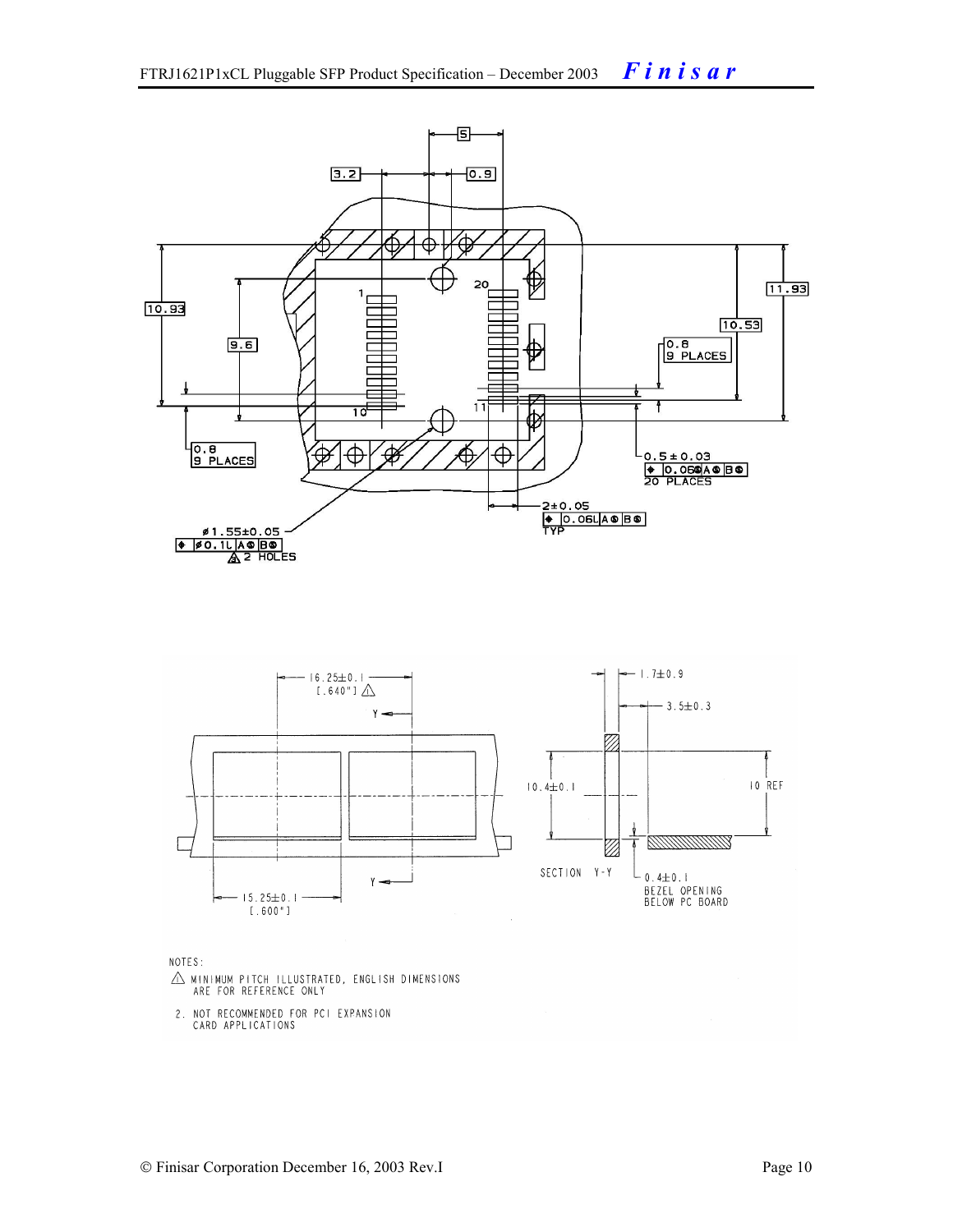

NOTES:

- $\triangle$  MINIMUM PITCH ILLUSTRATED, ENGLISH DIMENSIONS ARE FOR REFERENCE ONLY
- 2. NOT RECOMMENDED FOR PCI EXPANSION CARD APPLICATIONS